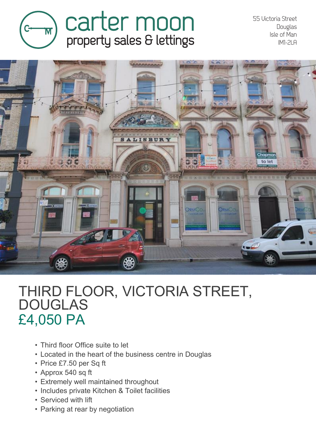

## Carter moon

55 Victoria Street Douglas Isle of Man IM1-2LA



## THIRD FLOOR, VICTORIA STREET, DOUGLAS £4,050 PA

- Third floor Office suite to let
- Located in the heart of the business centre in Douglas
- Price £7.50 per Sq ft
- Approx 540 sq ft
- Extremely well maintained throughout
- Includes private Kitchen & Toilet facilities
- Serviced with lift
- Parking at rear by negotiation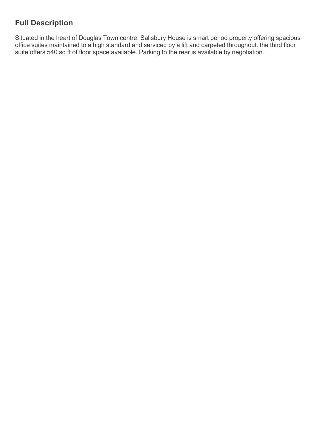## **Full Description**

Situated in the heart of Douglas Town centre, Salisbury House is smart period property offering spacious office suites maintained to a high standard and serviced by a lift and carpeted throughout. the third floor suite offers 540 sq ft of floor space available. Parking to the rear is available by negotiation..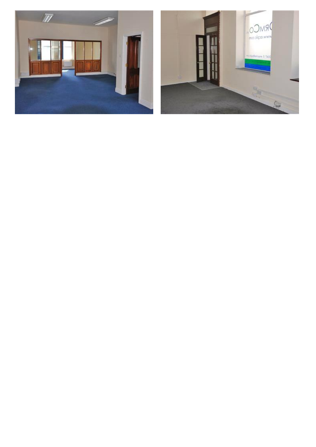